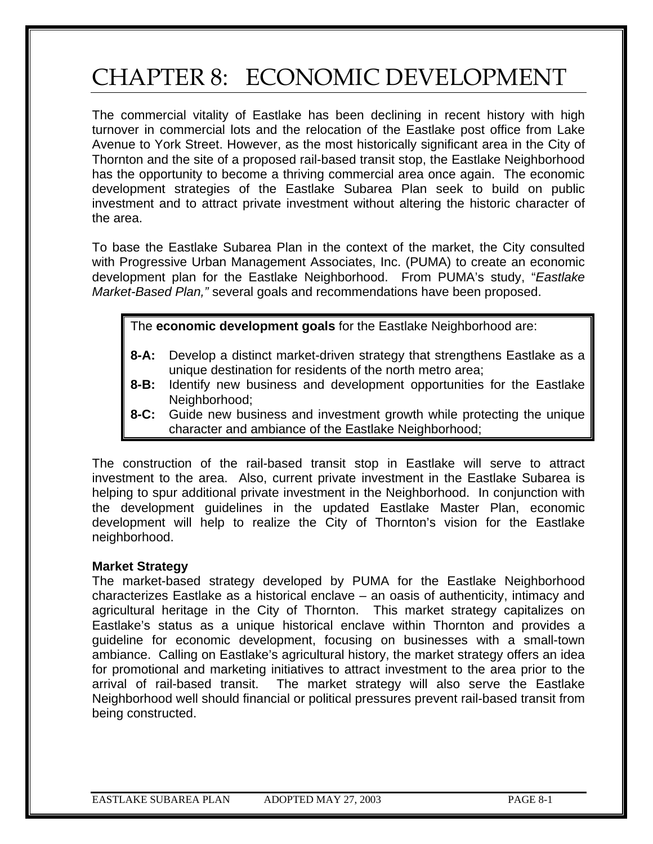# CHAPTER 8: ECONOMIC DEVELOPMENT

The commercial vitality of Eastlake has been declining in recent history with high turnover in commercial lots and the relocation of the Eastlake post office from Lake Avenue to York Street. However, as the most historically significant area in the City of Thornton and the site of a proposed rail-based transit stop, the Eastlake Neighborhood has the opportunity to become a thriving commercial area once again. The economic development strategies of the Eastlake Subarea Plan seek to build on public investment and to attract private investment without altering the historic character of the area.

To base the Eastlake Subarea Plan in the context of the market, the City consulted with Progressive Urban Management Associates, Inc. (PUMA) to create an economic development plan for the Eastlake Neighborhood. From PUMA's study, "*Eastlake Market-Based Plan,"* several goals and recommendations have been proposed.

The **economic development goals** for the Eastlake Neighborhood are:

- **8-A:** Develop a distinct market-driven strategy that strengthens Eastlake as a unique destination for residents of the north metro area;
- **8-B:** Identify new business and development opportunities for the Eastlake Neighborhood;
- **8-C:** Guide new business and investment growth while protecting the unique character and ambiance of the Eastlake Neighborhood;

The construction of the rail-based transit stop in Eastlake will serve to attract investment to the area. Also, current private investment in the Eastlake Subarea is helping to spur additional private investment in the Neighborhood. In conjunction with the development guidelines in the updated Eastlake Master Plan, economic development will help to realize the City of Thornton's vision for the Eastlake neighborhood.

#### **Market Strategy**

The market-based strategy developed by PUMA for the Eastlake Neighborhood characterizes Eastlake as a historical enclave – an oasis of authenticity, intimacy and agricultural heritage in the City of Thornton. This market strategy capitalizes on Eastlake's status as a unique historical enclave within Thornton and provides a guideline for economic development, focusing on businesses with a small-town ambiance. Calling on Eastlake's agricultural history, the market strategy offers an idea for promotional and marketing initiatives to attract investment to the area prior to the arrival of rail-based transit. The market strategy will also serve the Eastlake Neighborhood well should financial or political pressures prevent rail-based transit from being constructed.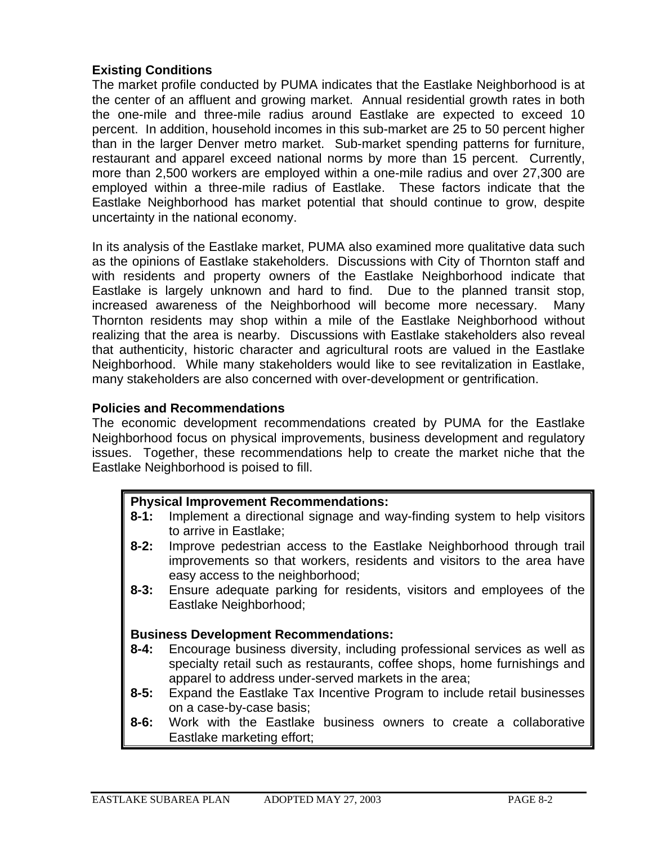## **Existing Conditions**

The market profile conducted by PUMA indicates that the Eastlake Neighborhood is at the center of an affluent and growing market. Annual residential growth rates in both the one-mile and three-mile radius around Eastlake are expected to exceed 10 percent. In addition, household incomes in this sub-market are 25 to 50 percent higher than in the larger Denver metro market. Sub-market spending patterns for furniture, restaurant and apparel exceed national norms by more than 15 percent. Currently, more than 2,500 workers are employed within a one-mile radius and over 27,300 are employed within a three-mile radius of Eastlake. These factors indicate that the Eastlake Neighborhood has market potential that should continue to grow, despite uncertainty in the national economy.

In its analysis of the Eastlake market, PUMA also examined more qualitative data such as the opinions of Eastlake stakeholders. Discussions with City of Thornton staff and with residents and property owners of the Eastlake Neighborhood indicate that Eastlake is largely unknown and hard to find. Due to the planned transit stop, increased awareness of the Neighborhood will become more necessary. Many Thornton residents may shop within a mile of the Eastlake Neighborhood without realizing that the area is nearby. Discussions with Eastlake stakeholders also reveal that authenticity, historic character and agricultural roots are valued in the Eastlake Neighborhood. While many stakeholders would like to see revitalization in Eastlake, many stakeholders are also concerned with over-development or gentrification.

#### **Policies and Recommendations**

The economic development recommendations created by PUMA for the Eastlake Neighborhood focus on physical improvements, business development and regulatory issues. Together, these recommendations help to create the market niche that the Eastlake Neighborhood is poised to fill.

#### **Physical Improvement Recommendations:**

- **8-1:** Implement a directional signage and way-finding system to help visitors to arrive in Eastlake;
- **8-2:** Improve pedestrian access to the Eastlake Neighborhood through trail improvements so that workers, residents and visitors to the area have easy access to the neighborhood;
- **8-3:** Ensure adequate parking for residents, visitors and employees of the Eastlake Neighborhood;

#### **Business Development Recommendations:**

- **8-4:** Encourage business diversity, including professional services as well as specialty retail such as restaurants, coffee shops, home furnishings and apparel to address under-served markets in the area;
- **8-5:** Expand the Eastlake Tax Incentive Program to include retail businesses on a case-by-case basis;
- **8-6:** Work with the Eastlake business owners to create a collaborative Eastlake marketing effort;